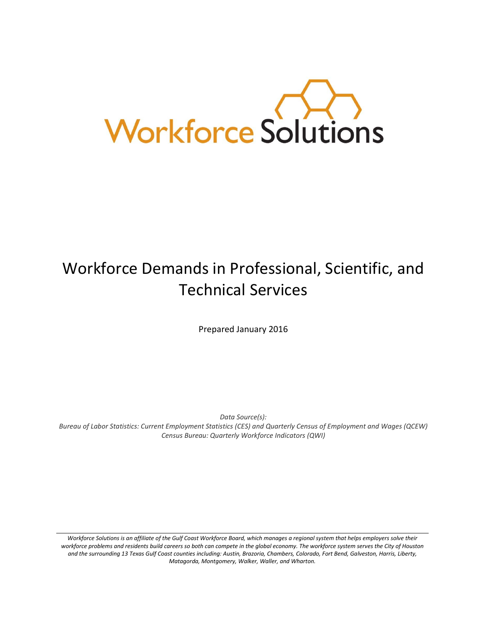

# Workforce Demands in Professional, Scientific, and Technical Services

Prepared January 2016

*Data Source(s):* 

*Bureau of Labor Statistics: Current Employment Statistics (CES) and Quarterly Census of Employment and Wages (QCEW) Census Bureau: Quarterly Workforce Indicators (QWI)*

*Workforce Solutions is an affiliate of the Gulf Coast Workforce Board, which manages a regional system that helps employers solve their workforce problems and residents build careers so both can compete in the global economy. The workforce system serves the City of Houston and the surrounding 13 Texas Gulf Coast counties including: Austin, Brazoria, Chambers, Colorado, Fort Bend, Galveston, Harris, Liberty, Matagorda, Montgomery, Walker, Waller, and Wharton.*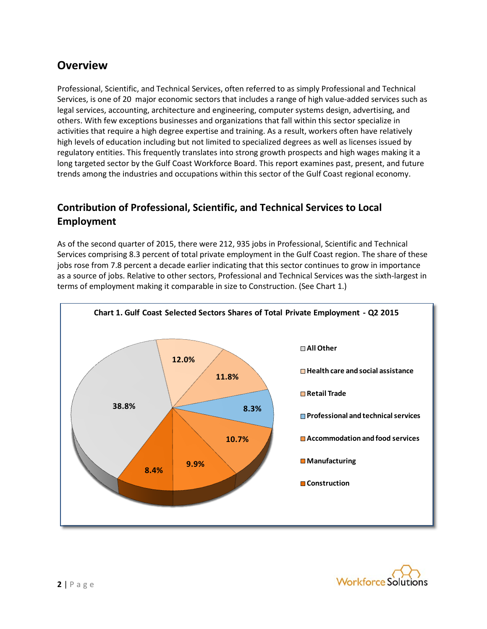# **Overview**

Professional, Scientific, and Technical Services, often referred to as simply Professional and Technical Services, is one of 20 major economic sectors that includes a range of high value-added services such as legal services, accounting, architecture and engineering, computer systems design, advertising, and others. With few exceptions businesses and organizations that fall within this sector specialize in activities that require a high degree expertise and training. As a result, workers often have relatively high levels of education including but not limited to specialized degrees as well as licenses issued by regulatory entities. This frequently translates into strong growth prospects and high wages making it a long targeted sector by the Gulf Coast Workforce Board. This report examines past, present, and future trends among the industries and occupations within this sector of the Gulf Coast regional economy.

## **Contribution of Professional, Scientific, and Technical Services to Local Employment**

As of the second quarter of 2015, there were 212, 935 jobs in Professional, Scientific and Technical Services comprising 8.3 percent of total private employment in the Gulf Coast region. The share of these jobs rose from 7.8 percent a decade earlier indicating that this sector continues to grow in importance as a source of jobs. Relative to other sectors, Professional and Technical Services was the sixth-largest in terms of employment making it comparable in size to Construction. (See Chart 1.)



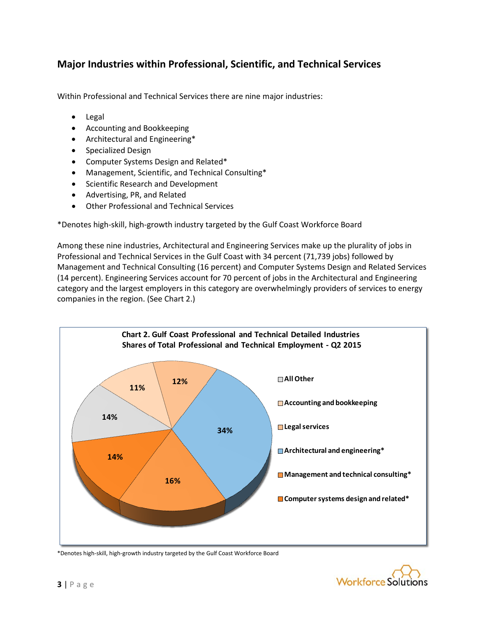## **Major Industries within Professional, Scientific, and Technical Services**

Within Professional and Technical Services there are nine major industries:

- Legal
- Accounting and Bookkeeping
- Architectural and Engineering\*
- Specialized Design
- Computer Systems Design and Related\*
- Management, Scientific, and Technical Consulting\*
- Scientific Research and Development
- Advertising, PR, and Related
- Other Professional and Technical Services

\*Denotes high-skill, high-growth industry targeted by the Gulf Coast Workforce Board

Among these nine industries, Architectural and Engineering Services make up the plurality of jobs in Professional and Technical Services in the Gulf Coast with 34 percent (71,739 jobs) followed by Management and Technical Consulting (16 percent) and Computer Systems Design and Related Services (14 percent). Engineering Services account for 70 percent of jobs in the Architectural and Engineering category and the largest employers in this category are overwhelmingly providers of services to energy companies in the region. (See Chart 2.)



\*Denotes high-skill, high-growth industry targeted by the Gulf Coast Workforce Board

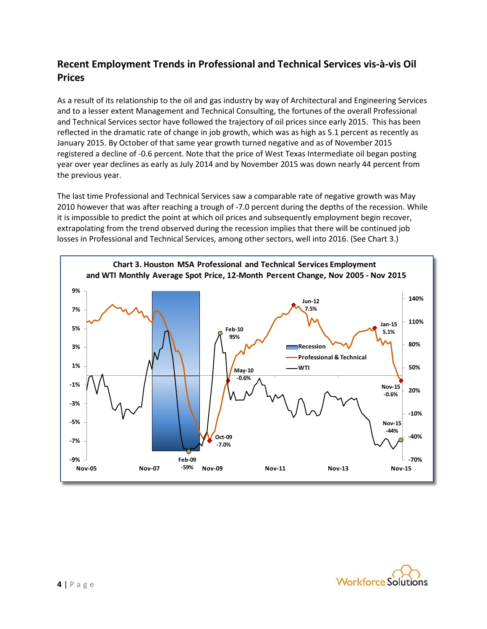## **Recent Employment Trends in Professional and Technical Services vis-à-vis Oil Prices**

As a result of its relationship to the oil and gas industry by way of Architectural and Engineering Services and to a lesser extent Management and Technical Consulting, the fortunes of the overall Professional and Technical Services sector have followed the trajectory of oil prices since early 2015. This has been reflected in the dramatic rate of change in job growth, which was as high as 5.1 percent as recently as January 2015. By October of that same year growth turned negative and as of November 2015 registered a decline of -0.6 percent. Note that the price of West Texas Intermediate oil began posting year over year declines as early as July 2014 and by November 2015 was down nearly 44 percent from the previous year.

The last time Professional and Technical Services saw a comparable rate of negative growth was May 2010 however that was after reaching a trough of -7.0 percent during the depths of the recession. While it is impossible to predict the point at which oil prices and subsequently employment begin recover, extrapolating from the trend observed during the recession implies that there will be continued job losses in Professional and Technical Services, among other sectors, well into 2016. (See Chart 3.)



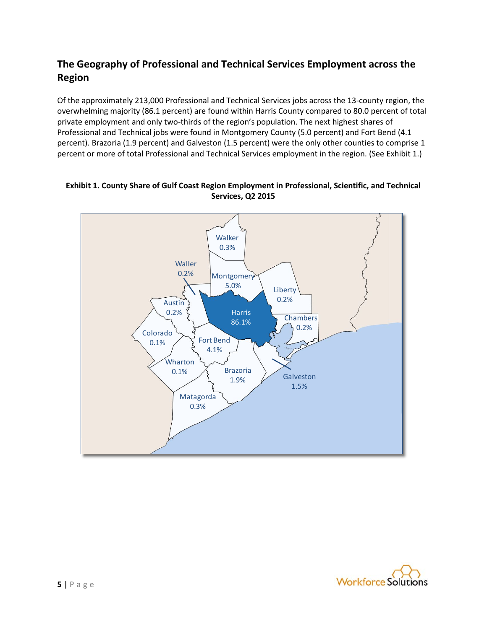## **The Geography of Professional and Technical Services Employment across the Region**

Of the approximately 213,000 Professional and Technical Services jobs across the 13-county region, the overwhelming majority (86.1 percent) are found within Harris County compared to 80.0 percent of total private employment and only two-thirds of the region's population. The next highest shares of Professional and Technical jobs were found in Montgomery County (5.0 percent) and Fort Bend (4.1 percent). Brazoria (1.9 percent) and Galveston (1.5 percent) were the only other counties to comprise 1 percent or more of total Professional and Technical Services employment in the region. (See Exhibit 1.)



**Exhibit 1. County Share of Gulf Coast Region Employment in Professional, Scientific, and Technical Services, Q2 2015**

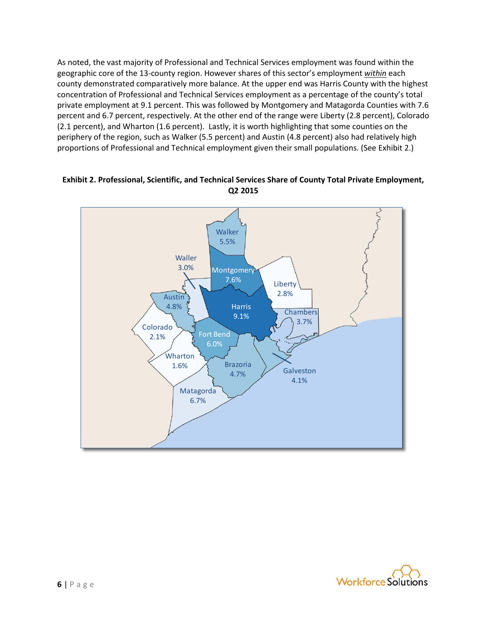As noted, the vast majority of Professional and Technical Services employment was found within the geographic core of the 13-county region. However shares of this sector's employment *within* each county demonstrated comparatively more balance. At the upper end was Harris County with the highest concentration of Professional and Technical Services employment as a percentage of the county's total private employment at 9.1 percent. This was followed by Montgomery and Matagorda Counties with 7.6 percent and 6.7 percent, respectively. At the other end of the range were Liberty (2.8 percent), Colorado (2.1 percent), and Wharton (1.6 percent). Lastly, it is worth highlighting that some counties on the periphery of the region, such as Walker (5.5 percent) and Austin (4.8 percent) also had relatively high proportions of Professional and Technical employment given their small populations. (See Exhibit 2.)

### **Exhibit 2. Professional, Scientific, and Technical Services Share of County Total Private Employment, Q2 2015**



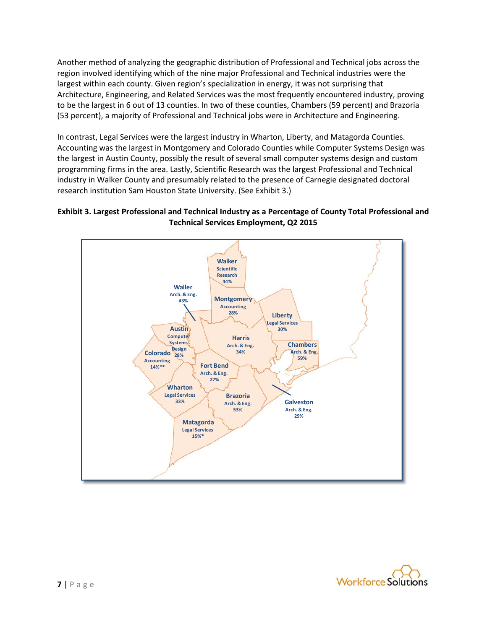Another method of analyzing the geographic distribution of Professional and Technical jobs across the region involved identifying which of the nine major Professional and Technical industries were the largest within each county. Given region's specialization in energy, it was not surprising that Architecture, Engineering, and Related Services was the most frequently encountered industry, proving to be the largest in 6 out of 13 counties. In two of these counties, Chambers (59 percent) and Brazoria (53 percent), a majority of Professional and Technical jobs were in Architecture and Engineering.

In contrast, Legal Services were the largest industry in Wharton, Liberty, and Matagorda Counties. Accounting was the largest in Montgomery and Colorado Counties while Computer Systems Design was the largest in Austin County, possibly the result of several small computer systems design and custom programming firms in the area. Lastly, Scientific Research was the largest Professional and Technical industry in Walker County and presumably related to the presence of Carnegie designated doctoral research institution Sam Houston State University. (See Exhibit 3.)

## **Exhibit 3. Largest Professional and Technical Industry as a Percentage of County Total Professional and Technical Services Employment, Q2 2015**



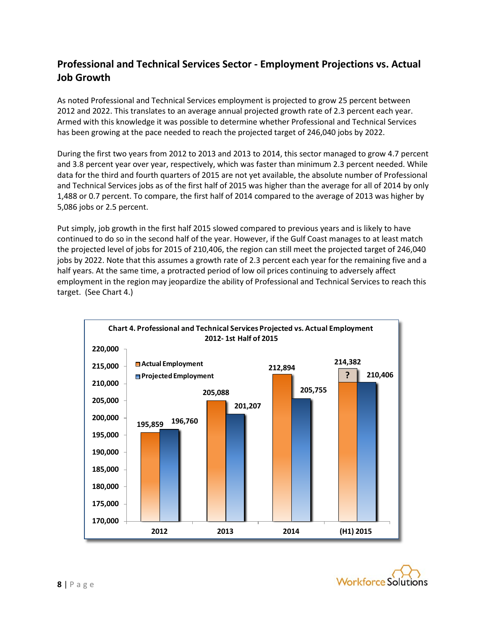## **Professional and Technical Services Sector - Employment Projections vs. Actual Job Growth**

As noted Professional and Technical Services employment is projected to grow 25 percent between 2012 and 2022. This translates to an average annual projected growth rate of 2.3 percent each year. Armed with this knowledge it was possible to determine whether Professional and Technical Services has been growing at the pace needed to reach the projected target of 246,040 jobs by 2022.

During the first two years from 2012 to 2013 and 2013 to 2014, this sector managed to grow 4.7 percent and 3.8 percent year over year, respectively, which was faster than minimum 2.3 percent needed. While data for the third and fourth quarters of 2015 are not yet available, the absolute number of Professional and Technical Services jobs as of the first half of 2015 was higher than the average for all of 2014 by only 1,488 or 0.7 percent. To compare, the first half of 2014 compared to the average of 2013 was higher by 5,086 jobs or 2.5 percent.

Put simply, job growth in the first half 2015 slowed compared to previous years and is likely to have continued to do so in the second half of the year. However, if the Gulf Coast manages to at least match the projected level of jobs for 2015 of 210,406, the region can still meet the projected target of 246,040 jobs by 2022. Note that this assumes a growth rate of 2.3 percent each year for the remaining five and a half years. At the same time, a protracted period of low oil prices continuing to adversely affect employment in the region may jeopardize the ability of Professional and Technical Services to reach this target. (See Chart 4.)



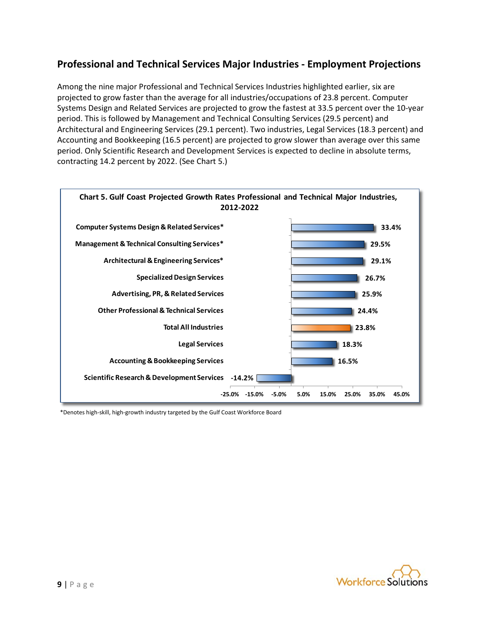## **Professional and Technical Services Major Industries - Employment Projections**

Among the nine major Professional and Technical Services Industries highlighted earlier, six are projected to grow faster than the average for all industries/occupations of 23.8 percent. Computer Systems Design and Related Services are projected to grow the fastest at 33.5 percent over the 10-year period. This is followed by Management and Technical Consulting Services (29.5 percent) and Architectural and Engineering Services (29.1 percent). Two industries, Legal Services (18.3 percent) and Accounting and Bookkeeping (16.5 percent) are projected to grow slower than average over this same period. Only Scientific Research and Development Services is expected to decline in absolute terms, contracting 14.2 percent by 2022. (See Chart 5.)



\*Denotes high-skill, high-growth industry targeted by the Gulf Coast Workforce Board

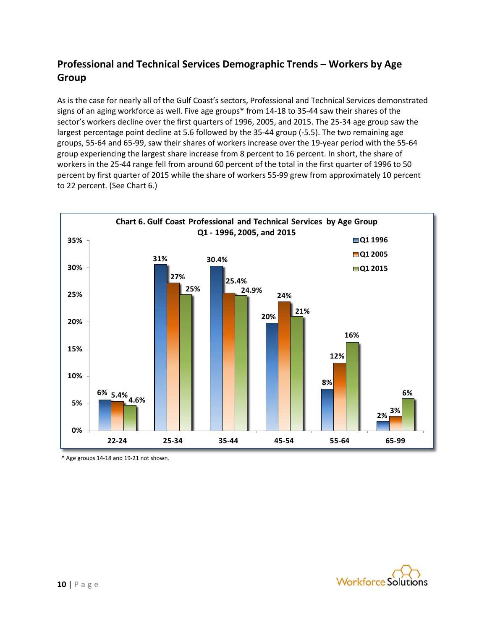## **Professional and Technical Services Demographic Trends – Workers by Age Group**

As is the case for nearly all of the Gulf Coast's sectors, Professional and Technical Services demonstrated signs of an aging workforce as well. Five age groups\* from 14-18 to 35-44 saw their shares of the sector's workers decline over the first quarters of 1996, 2005, and 2015. The 25-34 age group saw the largest percentage point decline at 5.6 followed by the 35-44 group (-5.5). The two remaining age groups, 55-64 and 65-99, saw their shares of workers increase over the 19-year period with the 55-64 group experiencing the largest share increase from 8 percent to 16 percent. In short, the share of workers in the 25-44 range fell from around 60 percent of the total in the first quarter of 1996 to 50 percent by first quarter of 2015 while the share of workers 55-99 grew from approximately 10 percent to 22 percent. (See Chart 6.)



\* Age groups 14-18 and 19-21 not shown.

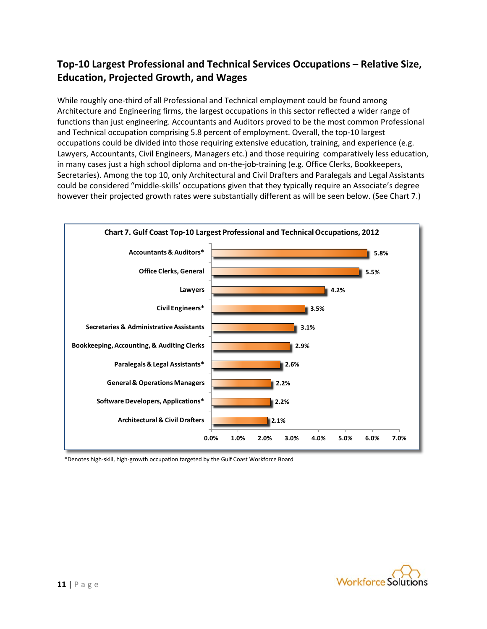## **Top-10 Largest Professional and Technical Services Occupations – Relative Size, Education, Projected Growth, and Wages**

While roughly one-third of all Professional and Technical employment could be found among Architecture and Engineering firms, the largest occupations in this sector reflected a wider range of functions than just engineering. Accountants and Auditors proved to be the most common Professional and Technical occupation comprising 5.8 percent of employment. Overall, the top-10 largest occupations could be divided into those requiring extensive education, training, and experience (e.g. Lawyers, Accountants, Civil Engineers, Managers etc.) and those requiring comparatively less education, in many cases just a high school diploma and on-the-job-training (e.g. Office Clerks, Bookkeepers, Secretaries). Among the top 10, only Architectural and Civil Drafters and Paralegals and Legal Assistants could be considered "middle-skills' occupations given that they typically require an Associate's degree however their projected growth rates were substantially different as will be seen below. (See Chart 7.)



\*Denotes high-skill, high-growth occupation targeted by the Gulf Coast Workforce Board

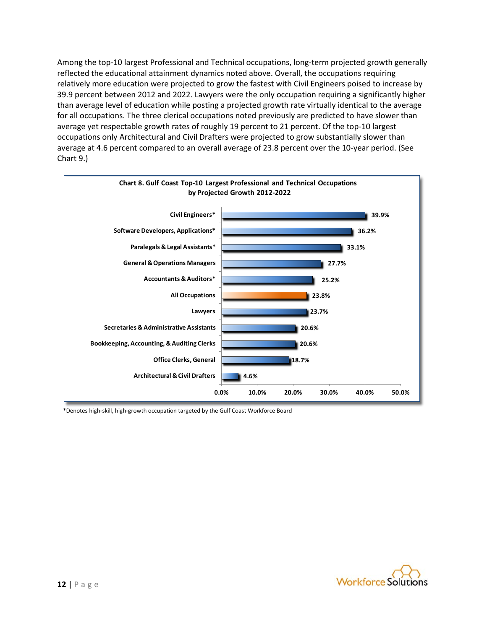Among the top-10 largest Professional and Technical occupations, long-term projected growth generally reflected the educational attainment dynamics noted above. Overall, the occupations requiring relatively more education were projected to grow the fastest with Civil Engineers poised to increase by 39.9 percent between 2012 and 2022. Lawyers were the only occupation requiring a significantly higher than average level of education while posting a projected growth rate virtually identical to the average for all occupations. The three clerical occupations noted previously are predicted to have slower than average yet respectable growth rates of roughly 19 percent to 21 percent. Of the top-10 largest occupations only Architectural and Civil Drafters were projected to grow substantially slower than average at 4.6 percent compared to an overall average of 23.8 percent over the 10-year period. (See Chart 9.)



\*Denotes high-skill, high-growth occupation targeted by the Gulf Coast Workforce Board

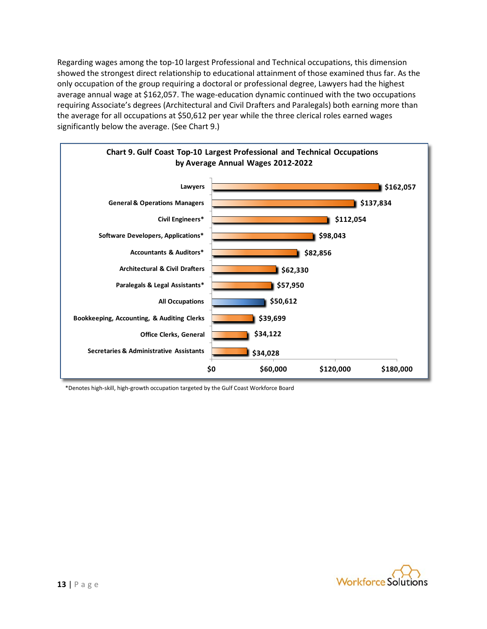Regarding wages among the top-10 largest Professional and Technical occupations, this dimension showed the strongest direct relationship to educational attainment of those examined thus far. As the only occupation of the group requiring a doctoral or professional degree, Lawyers had the highest average annual wage at \$162,057. The wage-education dynamic continued with the two occupations requiring Associate's degrees (Architectural and Civil Drafters and Paralegals) both earning more than the average for all occupations at \$50,612 per year while the three clerical roles earned wages significantly below the average. (See Chart 9.)



\*Denotes high-skill, high-growth occupation targeted by the Gulf Coast Workforce Board